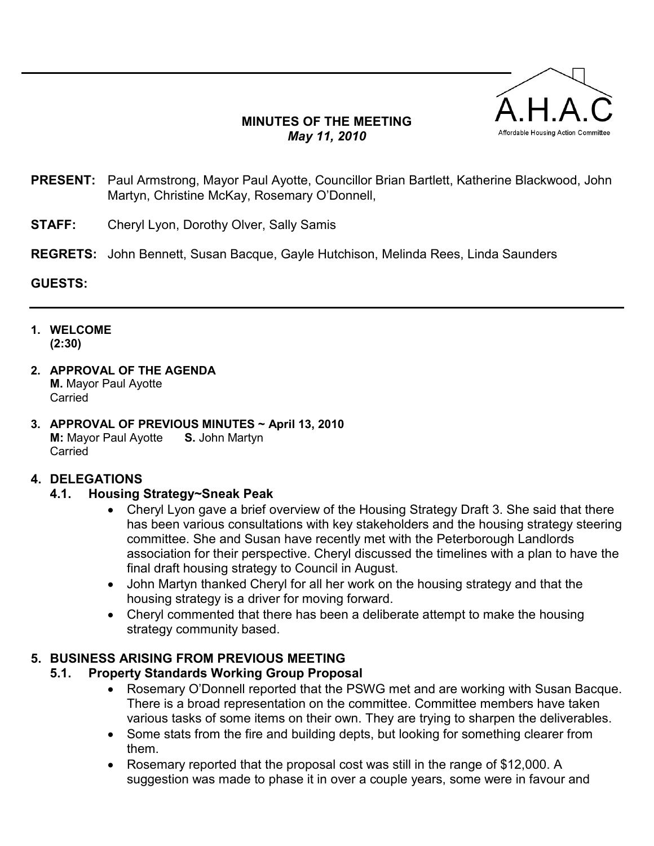## MINUTES OF THE MEETING May 11, 2010



- PRESENT: Paul Armstrong, Mayor Paul Ayotte, Councillor Brian Bartlett, Katherine Blackwood, John Martyn, Christine McKay, Rosemary O'Donnell,
- **STAFF:** Cheryl Lyon, Dorothy Olver, Sally Samis
- REGRETS: John Bennett, Susan Bacque, Gayle Hutchison, Melinda Rees, Linda Saunders

#### GUESTS:

- 1. WELCOME (2:30)
- 2. APPROVAL OF THE AGENDA M. Mayor Paul Ayotte **Carried**
- 3. APPROVAL OF PREVIOUS MINUTES ~ April 13, 2010 M: Mayor Paul Ayotte S. John Martyn **Carried**

#### 4. DELEGATIONS

#### 4.1. Housing Strategy~Sneak Peak

- Cheryl Lyon gave a brief overview of the Housing Strategy Draft 3. She said that there has been various consultations with key stakeholders and the housing strategy steering committee. She and Susan have recently met with the Peterborough Landlords association for their perspective. Cheryl discussed the timelines with a plan to have the final draft housing strategy to Council in August.
- John Martyn thanked Cheryl for all her work on the housing strategy and that the housing strategy is a driver for moving forward.
- Cheryl commented that there has been a deliberate attempt to make the housing strategy community based.

## 5. BUSINESS ARISING FROM PREVIOUS MEETING

## 5.1. Property Standards Working Group Proposal

- Rosemary O'Donnell reported that the PSWG met and are working with Susan Bacque. There is a broad representation on the committee. Committee members have taken various tasks of some items on their own. They are trying to sharpen the deliverables.
- Some stats from the fire and building depts, but looking for something clearer from them.
- Rosemary reported that the proposal cost was still in the range of \$12,000. A suggestion was made to phase it in over a couple years, some were in favour and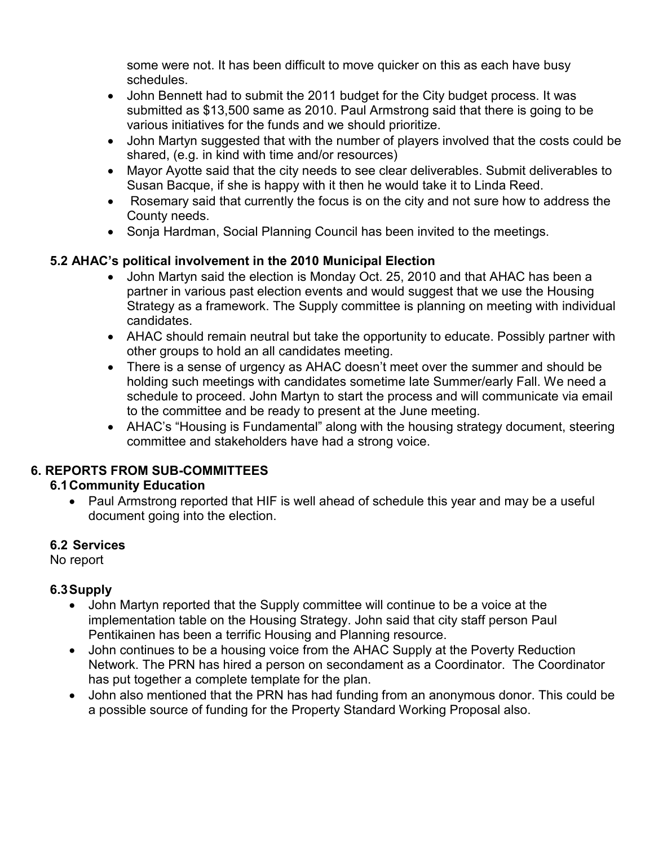some were not. It has been difficult to move quicker on this as each have busy schedules.

- John Bennett had to submit the 2011 budget for the City budget process. It was submitted as \$13,500 same as 2010. Paul Armstrong said that there is going to be various initiatives for the funds and we should prioritize.
- John Martyn suggested that with the number of players involved that the costs could be shared, (e.g. in kind with time and/or resources)
- Mayor Ayotte said that the city needs to see clear deliverables. Submit deliverables to Susan Bacque, if she is happy with it then he would take it to Linda Reed.
- Rosemary said that currently the focus is on the city and not sure how to address the County needs.
- Sonja Hardman, Social Planning Council has been invited to the meetings.

# 5.2 AHAC's political involvement in the 2010 Municipal Election

- John Martyn said the election is Monday Oct. 25, 2010 and that AHAC has been a partner in various past election events and would suggest that we use the Housing Strategy as a framework. The Supply committee is planning on meeting with individual candidates.
- AHAC should remain neutral but take the opportunity to educate. Possibly partner with other groups to hold an all candidates meeting.
- There is a sense of urgency as AHAC doesn't meet over the summer and should be holding such meetings with candidates sometime late Summer/early Fall. We need a schedule to proceed. John Martyn to start the process and will communicate via email to the committee and be ready to present at the June meeting.
- AHAC's "Housing is Fundamental" along with the housing strategy document, steering committee and stakeholders have had a strong voice.

# 6. REPORTS FROM SUB-COMMITTEES

## 6.1 Community Education

• Paul Armstrong reported that HIF is well ahead of schedule this year and may be a useful document going into the election.

## 6.2 Services

No report

## 6.3 Supply

- John Martyn reported that the Supply committee will continue to be a voice at the implementation table on the Housing Strategy. John said that city staff person Paul Pentikainen has been a terrific Housing and Planning resource.
- John continues to be a housing voice from the AHAC Supply at the Poverty Reduction Network. The PRN has hired a person on secondament as a Coordinator. The Coordinator has put together a complete template for the plan.
- John also mentioned that the PRN has had funding from an anonymous donor. This could be a possible source of funding for the Property Standard Working Proposal also.